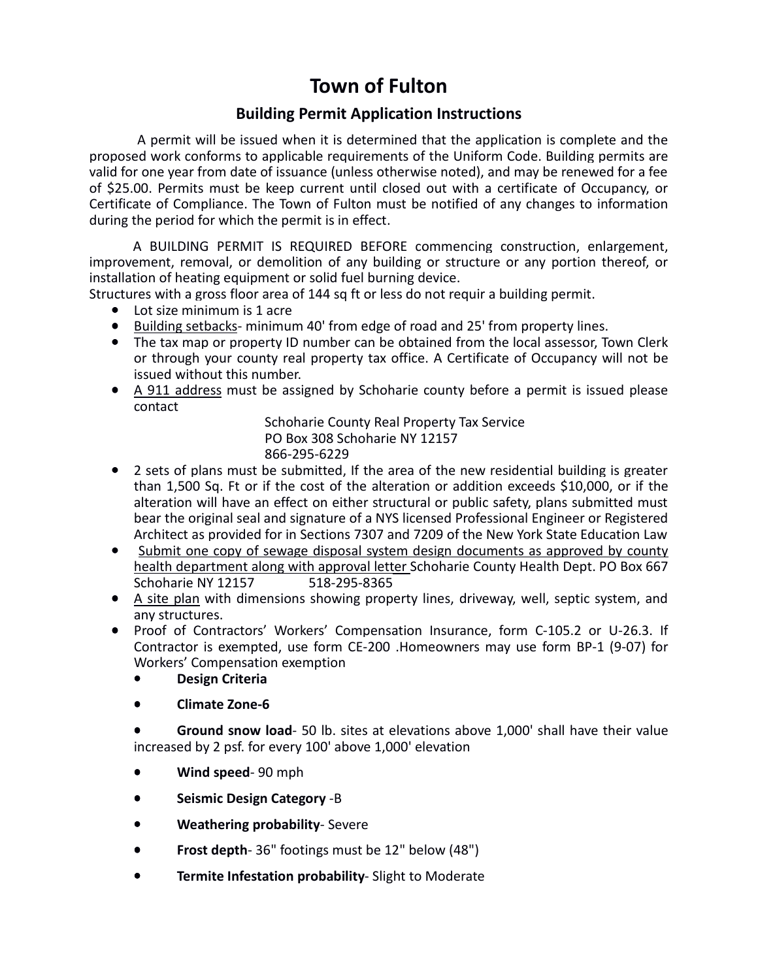# **Town of Fulton**

## **Building Permit Application Instructions**

 A permit will be issued when it is determined that the application is complete and the proposed work conforms to applicable requirements of the Uniform Code. Building permits are valid for one year from date of issuance (unless otherwise noted), and may be renewed for a fee of \$25.00. Permits must be keep current until closed out with a certificate of Occupancy, or Certificate of Compliance. The Town of Fulton must be notified of any changes to information during the period for which the permit is in effect.

A BUILDING PERMIT IS REQUIRED BEFORE commencing construction, enlargement, improvement, removal, or demolition of any building or structure or any portion thereof, or installation of heating equipment or solid fuel burning device.

Structures with a gross floor area of 144 sq ft or less do not requir a building permit.

- Lot size minimum is 1 acre
- Building setbacks- minimum 40' from edge of road and 25' from property lines.
- The tax map or property ID number can be obtained from the local assessor, Town Clerk or through your county real property tax office. A Certificate of Occupancy will not be issued without this number.
- A 911 address must be assigned by Schoharie county before a permit is issued please contact

Schoharie County Real Property Tax Service PO Box 308 Schoharie NY 12157 866-295-6229

- 2 sets of plans must be submitted, If the area of the new residential building is greater than 1,500 Sq. Ft or if the cost of the alteration or addition exceeds \$10,000, or if the alteration will have an effect on either structural or public safety, plans submitted must bear the original seal and signature of a NYS licensed Professional Engineer or Registered Architect as provided for in Sections 7307 and 7209 of the New York State Education Law
- Submit one copy of sewage disposal system design documents as approved by county health department along with approval letter Schoharie County Health Dept. PO Box 667 Schoharie NY 12157 518-295-8365
- A site plan with dimensions showing property lines, driveway, well, septic system, and any structures.
- Proof of Contractors' Workers' Compensation Insurance, form C-105.2 or U-26.3. If Contractor is exempted, use form CE-200 .Homeowners may use form BP-1 (9-07) for Workers' Compensation exemption
	- **Design Criteria**
	- **Climate Zone-6**

• **Ground snow load**- 50 lb. sites at elevations above 1,000' shall have their value increased by 2 psf. for every 100' above 1,000' elevation

- **Wind speed** 90 mph
- **Seismic Design Category** -B
- **Weathering probability** Severe
- **Frost depth** 36" footings must be 12" below (48")
- **Termite Infestation probability** Slight to Moderate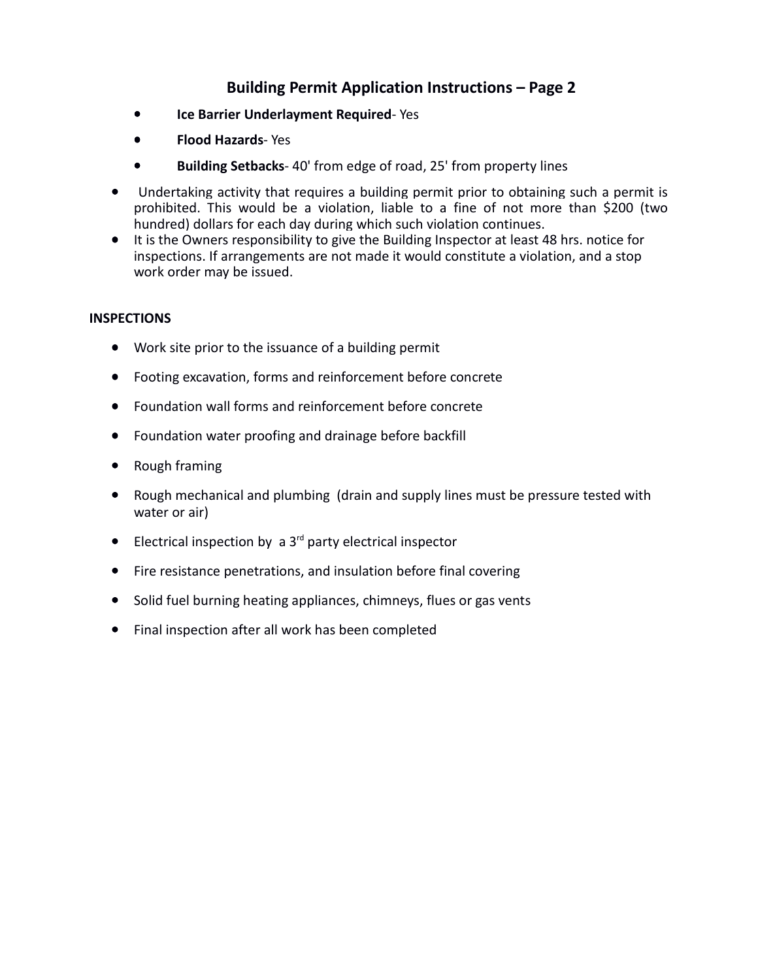## **Building Permit Application Instructions – Page 2**

- **Ice Barrier Underlayment Required** Yes
- **Flood Hazards** Yes
- **Building Setbacks** 40' from edge of road, 25' from property lines
- Undertaking activity that requires a building permit prior to obtaining such a permit is prohibited. This would be a violation, liable to a fine of not more than \$200 (two hundred) dollars for each day during which such violation continues.
- It is the Owners responsibility to give the Building Inspector at least 48 hrs. notice for inspections. If arrangements are not made it would constitute a violation, and a stop work order may be issued.

#### **INSPECTIONS**

- Work site prior to the issuance of a building permit
- Footing excavation, forms and reinforcement before concrete
- Foundation wall forms and reinforcement before concrete
- Foundation water proofing and drainage before backfill
- Rough framing
- Rough mechanical and plumbing (drain and supply lines must be pressure tested with water or air)
- $\bullet$  Electrical inspection by a 3<sup>rd</sup> party electrical inspector
- Fire resistance penetrations, and insulation before final covering
- Solid fuel burning heating appliances, chimneys, flues or gas vents
- Final inspection after all work has been completed